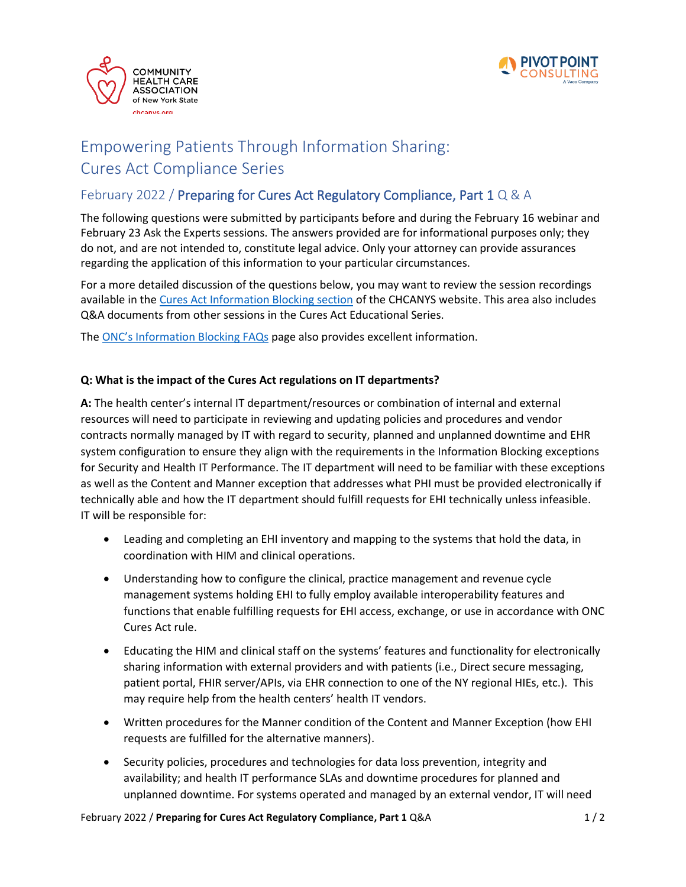



## Empowering Patients Through Information Sharing: Cures Act Compliance Series

## February 2022 / Preparing for Cures Act Regulatory Compliance, Part 1 Q & A

The following questions were submitted by participants before and during the February 16 webinar and February 23 Ask the Experts sessions. The answers provided are for informational purposes only; they do not, and are not intended to, constitute legal advice. Only your attorney can provide assurances regarding the application of this information to your particular circumstances.

For a more detailed discussion of the questions below, you may want to review the session recordings available in the [Cures Act Information Blocking section](https://www.chcanys.org/health-center-resources/clinical-technology-resources/digital-health) of the CHCANYS website. This area also includes Q&A documents from other sessions in the Cures Act Educational Series.

The [ONC's Information Blocking FAQs](https://www.healthit.gov/curesrule/resources/information-blocking-faqs) page also provides excellent information.

## **Q: What is the impact of the Cures Act regulations on IT departments?**

**A:** The health center's internal IT department/resources or combination of internal and external resources will need to participate in reviewing and updating policies and procedures and vendor contracts normally managed by IT with regard to security, planned and unplanned downtime and EHR system configuration to ensure they align with the requirements in the Information Blocking exceptions for Security and Health IT Performance. The IT department will need to be familiar with these exceptions as well as the Content and Manner exception that addresses what PHI must be provided electronically if technically able and how the IT department should fulfill requests for EHI technically unless infeasible. IT will be responsible for:

- Leading and completing an EHI inventory and mapping to the systems that hold the data, in coordination with HIM and clinical operations.
- Understanding how to configure the clinical, practice management and revenue cycle management systems holding EHI to fully employ available interoperability features and functions that enable fulfilling requests for EHI access, exchange, or use in accordance with ONC Cures Act rule.
- Educating the HIM and clinical staff on the systems' features and functionality for electronically sharing information with external providers and with patients (i.e., Direct secure messaging, patient portal, FHIR server/APIs, via EHR connection to one of the NY regional HIEs, etc.). This may require help from the health centers' health IT vendors.
- Written procedures for the Manner condition of the Content and Manner Exception (how EHI requests are fulfilled for the alternative manners).
- Security policies, procedures and technologies for data loss prevention, integrity and availability; and health IT performance SLAs and downtime procedures for planned and unplanned downtime. For systems operated and managed by an external vendor, IT will need

February 2022 / **Preparing for Cures Act Regulatory Compliance, Part 1** Q&A 1 / 2